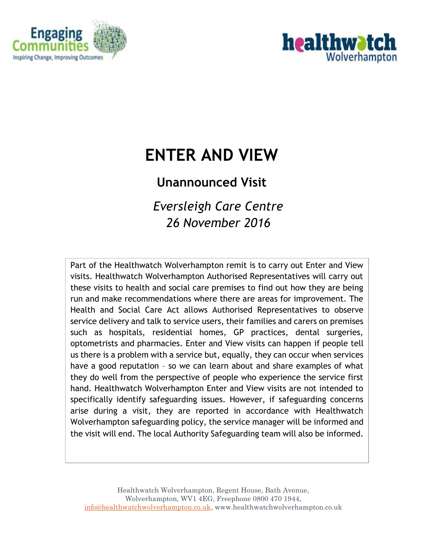



# **ENTER AND VIEW**

## **Unannounced Visit**

*Eversleigh Care Centre 26 November 2016*

Part of the Healthwatch Wolverhampton remit is to carry out Enter and View visits. Healthwatch Wolverhampton Authorised Representatives will carry out these visits to health and social care premises to find out how they are being run and make recommendations where there are areas for improvement. The Health and Social Care Act allows Authorised Representatives to observe service delivery and talk to service users, their families and carers on premises such as hospitals, residential homes, GP practices, dental surgeries, optometrists and pharmacies. Enter and View visits can happen if people tell us there is a problem with a service but, equally, they can occur when services have a good reputation – so we can learn about and share examples of what they do well from the perspective of people who experience the service first hand. Healthwatch Wolverhampton Enter and View visits are not intended to specifically identify safeguarding issues. However, if safeguarding concerns arise during a visit, they are reported in accordance with Healthwatch Wolverhampton safeguarding policy, the service manager will be informed and the visit will end. The local Authority Safeguarding team will also be informed.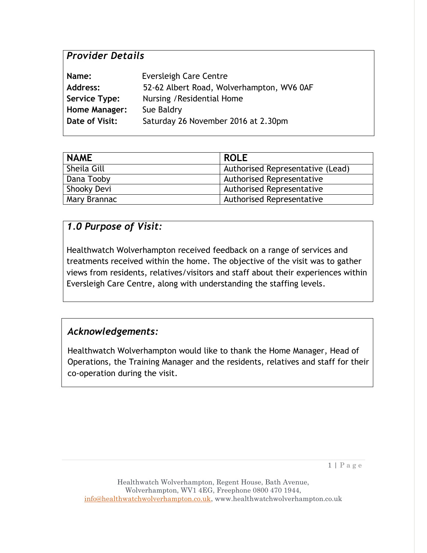## *Provider Details*

| Name:                | Eversleigh Care Centre                    |
|----------------------|-------------------------------------------|
| <b>Address:</b>      | 52-62 Albert Road, Wolverhampton, WV6 0AF |
| Service Type:        | Nursing / Residential Home                |
| <b>Home Manager:</b> | Sue Baldry                                |
| Date of Visit:       | Saturday 26 November 2016 at 2.30pm       |

| <b>NAME</b>  | <b>ROLE</b>                      |
|--------------|----------------------------------|
| Sheila Gill  | Authorised Representative (Lead) |
| Dana Tooby   | <b>Authorised Representative</b> |
| Shooky Devi  | <b>Authorised Representative</b> |
| Mary Brannac | <b>Authorised Representative</b> |

#### *1.0 Purpose of Visit:*

Healthwatch Wolverhampton received feedback on a range of services and treatments received within the home. The objective of the visit was to gather views from residents, relatives/visitors and staff about their experiences within Eversleigh Care Centre, along with understanding the staffing levels.

#### *Acknowledgements:*

Healthwatch Wolverhampton would like to thank the Home Manager, Head of Operations, the Training Manager and the residents, relatives and staff for their co-operation during the visit.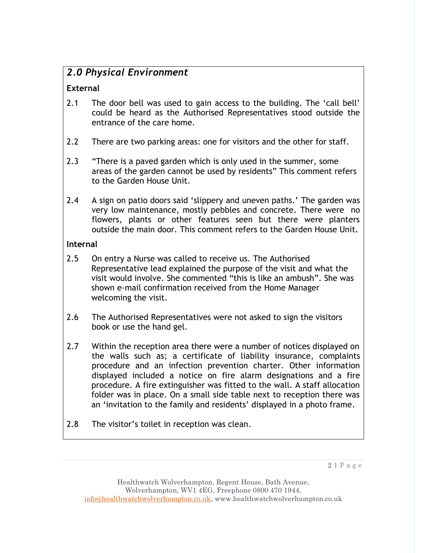#### *2.0 Physical Environment*

#### **External**

- 2.1 The door bell was used to gain access to the building. The 'call bell' could be heard as the Authorised Representatives stood outside the entrance of the care home.
- 2.2 There are two parking areas: one for visitors and the other for staff.
- 2.3 "There is a paved garden which is only used in the summer, some areas of the garden cannot be used by residents" This comment refers to the Garden House Unit.
- 2.4 A sign on patio doors said 'slippery and uneven paths.' The garden was very low maintenance, mostly pebbles and concrete. There were no flowers, plants or other features seen but there were planters outside the main door. This comment refers to the Garden House Unit.

#### **Internal**

- 2.5 On entry a Nurse was called to receive us. The Authorised Representative lead explained the purpose of the visit and what the visit would involve. She commented "this is like an ambush". She was shown e-mail confirmation received from the Home Manager welcoming the visit.
- 2.6 The Authorised Representatives were not asked to sign the visitors book or use the hand gel.
- 2.7 Within the reception area there were a number of notices displayed on the walls such as; a certificate of liability insurance, complaints procedure and an infection prevention charter. Other information displayed included a notice on fire alarm designations and a fire procedure. A fire extinguisher was fitted to the wall. A staff allocation folder was in place. On a small side table next to reception there was an 'invitation to the family and residents' displayed in a photo frame.
- 2.8 The visitor's toilet in reception was clean.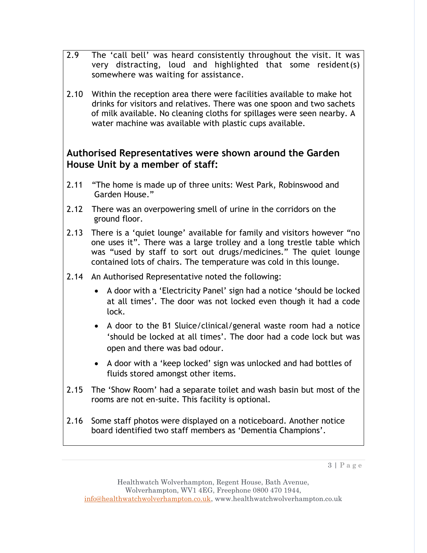- 2.9 The 'call bell' was heard consistently throughout the visit. It was very distracting, loud and highlighted that some resident(s) somewhere was waiting for assistance.
- 2.10 Within the reception area there were facilities available to make hot drinks for visitors and relatives. There was one spoon and two sachets of milk available. No cleaning cloths for spillages were seen nearby. A water machine was available with plastic cups available.

#### **Authorised Representatives were shown around the Garden House Unit by a member of staff:**

- 2.11 "The home is made up of three units: West Park, Robinswood and Garden House."
- 2.12 There was an overpowering smell of urine in the corridors on the ground floor.
- 2.13 There is a 'quiet lounge' available for family and visitors however "no one uses it". There was a large trolley and a long trestle table which was "used by staff to sort out drugs/medicines." The quiet lounge contained lots of chairs. The temperature was cold in this lounge.
- 2.14 An Authorised Representative noted the following:
	- A door with a 'Electricity Panel' sign had a notice 'should be locked at all times'. The door was not locked even though it had a code lock.
	- A door to the B1 Sluice/clinical/general waste room had a notice 'should be locked at all times'. The door had a code lock but was open and there was bad odour.
	- A door with a 'keep locked' sign was unlocked and had bottles of fluids stored amongst other items.
- 2.15 The 'Show Room' had a separate toilet and wash basin but most of the rooms are not en-suite. This facility is optional.
- 2.16 Some staff photos were displayed on a noticeboard. Another notice board identified two staff members as 'Dementia Champions'.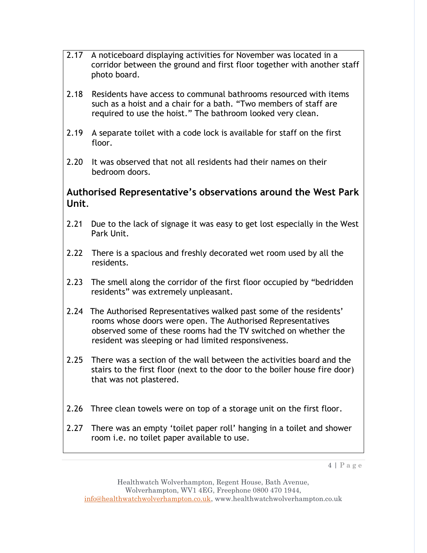- 2.17 A noticeboard displaying activities for November was located in a corridor between the ground and first floor together with another staff photo board.
- 2.18 Residents have access to communal bathrooms resourced with items such as a hoist and a chair for a bath. "Two members of staff are required to use the hoist." The bathroom looked very clean.
- 2.19 A separate toilet with a code lock is available for staff on the first floor.
- 2.20 It was observed that not all residents had their names on their bedroom doors.

#### **Authorised Representative's observations around the West Park Unit**.

- 2.21 Due to the lack of signage it was easy to get lost especially in the West Park Unit.
- 2.22 There is a spacious and freshly decorated wet room used by all the residents.
- 2.23 The smell along the corridor of the first floor occupied by "bedridden residents" was extremely unpleasant.
- 2.24 The Authorised Representatives walked past some of the residents' rooms whose doors were open. The Authorised Representatives observed some of these rooms had the TV switched on whether the resident was sleeping or had limited responsiveness.
- 2.25 There was a section of the wall between the activities board and the stairs to the first floor (next to the door to the boiler house fire door) that was not plastered.
- 2.26 Three clean towels were on top of a storage unit on the first floor.
- 2.27 There was an empty 'toilet paper roll' hanging in a toilet and shower room i.e. no toilet paper available to use.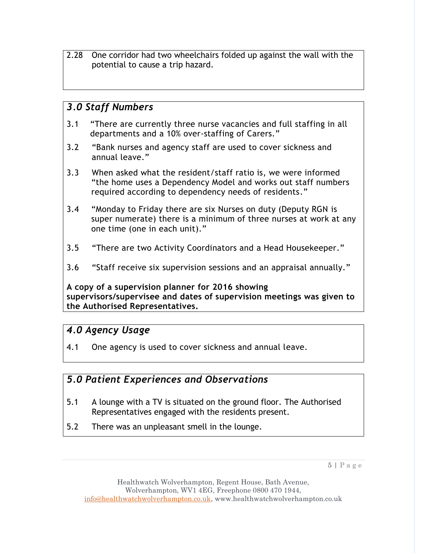2.28 One corridor had two wheelchairs folded up against the wall with the potential to cause a trip hazard.

#### *3.0 Staff Numbers*

- 3.1 "There are currently three nurse vacancies and full staffing in all departments and a 10% over-staffing of Carers."
- 3.2 "Bank nurses and agency staff are used to cover sickness and annual leave."
- 3.3 When asked what the resident/staff ratio is, we were informed "the home uses a Dependency Model and works out staff numbers required according to dependency needs of residents."
- 3.4 "Monday to Friday there are six Nurses on duty (Deputy RGN is super numerate) there is a minimum of three nurses at work at any one time (one in each unit)."
- 3.5 "There are two Activity Coordinators and a Head Housekeeper."
- 3.6 "Staff receive six supervision sessions and an appraisal annually."

**A copy of a supervision planner for 2016 showing supervisors/supervisee and dates of supervision meetings was given to the Authorised Representatives.**

#### *4.0 Agency Usage*

4.1 One agency is used to cover sickness and annual leave.

## *5.0 Patient Experiences and Observations*

- 5.1 A lounge with a TV is situated on the ground floor. The Authorised Representatives engaged with the residents present.
- 5.2 There was an unpleasant smell in the lounge.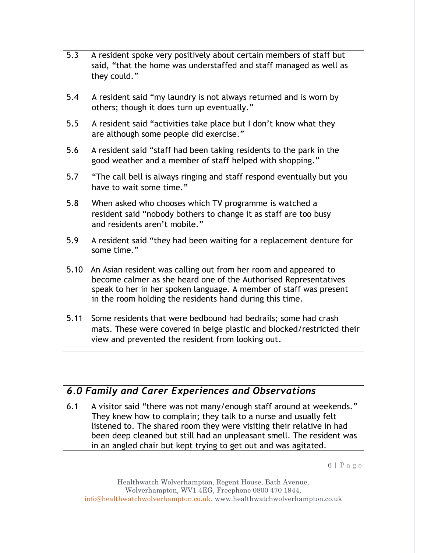- 5.3 A resident spoke very positively about certain members of staff but said, "that the home was understaffed and staff managed as well as they could."
- 5.4 A resident said "my laundry is not always returned and is worn by others; though it does turn up eventually."
- 5.5 A resident said "activities take place but I don't know what they are although some people did exercise."
- 5.6 A resident said "staff had been taking residents to the park in the good weather and a member of staff helped with shopping."
- 5.7 "The call bell is always ringing and staff respond eventually but you have to wait some time."
- 5.8 When asked who chooses which TV programme is watched a resident said "nobody bothers to change it as staff are too busy and residents aren't mobile."
- 5.9 A resident said "they had been waiting for a replacement denture for some time."
- 5.10 An Asian resident was calling out from her room and appeared to become calmer as she heard one of the Authorised Representatives speak to her in her spoken language. A member of staff was present in the room holding the residents hand during this time.
- 5.11 Some residents that were bedbound had bedrails; some had crash mats. These were covered in beige plastic and blocked/restricted their view and prevented the resident from looking out.

## *6.0 Family and Carer Experiences and Observations*

6.1 A visitor said "there was not many/enough staff around at weekends." They knew how to complain; they talk to a nurse and usually felt listened to. The shared room they were visiting their relative in had been deep cleaned but still had an unpleasant smell. The resident was in an angled chair but kept trying to get out and was agitated.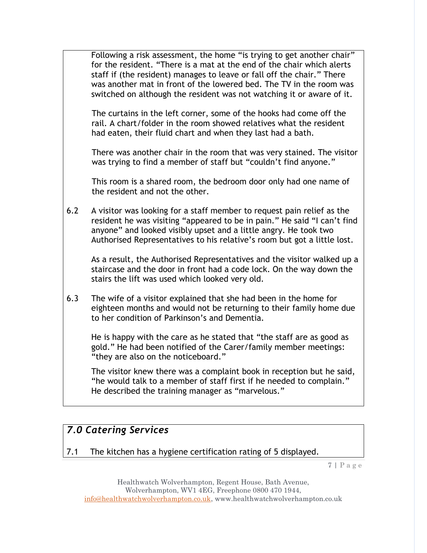Following a risk assessment, the home "is trying to get another chair" for the resident. "There is a mat at the end of the chair which alerts staff if (the resident) manages to leave or fall off the chair." There was another mat in front of the lowered bed. The TV in the room was switched on although the resident was not watching it or aware of it.

The curtains in the left corner, some of the hooks had come off the rail. A chart/folder in the room showed relatives what the resident had eaten, their fluid chart and when they last had a bath.

There was another chair in the room that was very stained. The visitor was trying to find a member of staff but "couldn't find anyone."

This room is a shared room, the bedroom door only had one name of the resident and not the other.

6.2 A visitor was looking for a staff member to request pain relief as the resident he was visiting "appeared to be in pain." He said "I can't find anyone" and looked visibly upset and a little angry. He took two Authorised Representatives to his relative's room but got a little lost.

As a result, the Authorised Representatives and the visitor walked up a staircase and the door in front had a code lock. On the way down the stairs the lift was used which looked very old.

6.3 The wife of a visitor explained that she had been in the home for eighteen months and would not be returning to their family home due to her condition of Parkinson's and Dementia.

He is happy with the care as he stated that "the staff are as good as gold." He had been notified of the Carer/family member meetings: "they are also on the noticeboard."

The visitor knew there was a complaint book in reception but he said, "he would talk to a member of staff first if he needed to complain." He described the training manager as "marvelous."

## *7.0 Catering Services*

7.1 The kitchen has a hygiene certification rating of 5 displayed.

7 | P a g e

Healthwatch Wolverhampton, Regent House, Bath Avenue, Wolverhampton, WV1 4EG, Freephone 0800 470 1944, [info@healthwatchwolverhampton.co.uk,](mailto:info@healthwatchwolverhampton.co.uk) www.healthwatchwolverhampton.co.uk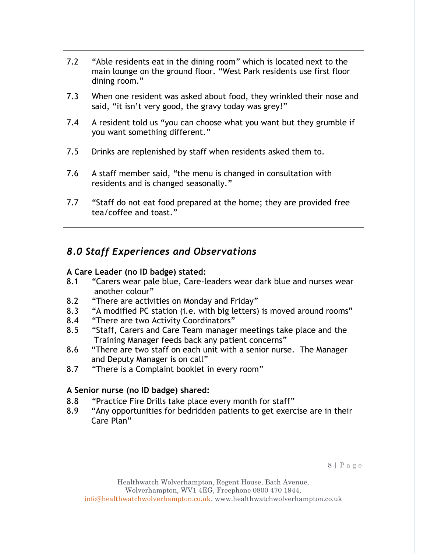- 7.2 "Able residents eat in the dining room" which is located next to the main lounge on the ground floor. "West Park residents use first floor dining room."
- 7.3 When one resident was asked about food, they wrinkled their nose and said, "it isn't very good, the gravy today was grey!"
- 7.4 A resident told us "you can choose what you want but they grumble if you want something different."
- 7.5 Drinks are replenished by staff when residents asked them to.
- 7.6 A staff member said, "the menu is changed in consultation with residents and is changed seasonally."
- 7.7 "Staff do not eat food prepared at the home; they are provided free tea/coffee and toast."

## *8.0 Staff Experiences and Observations*

#### **A Care Leader (no ID badge) stated:**

- 8.1 "Carers wear pale blue, Care-leaders wear dark blue and nurses wear another colour"
- 8.2 "There are activities on Monday and Friday"
- 8.3 "A modified PC station (i.e. with big letters) is moved around rooms"
- 8.4 "There are two Activity Coordinators"
- 8.5 "Staff, Carers and Care Team manager meetings take place and the Training Manager feeds back any patient concerns"
- 8.6 "There are two staff on each unit with a senior nurse. The Manager and Deputy Manager is on call"
- 8.7 "There is a Complaint booklet in every room"

#### **A Senior nurse (no ID badge) shared:**

- 8.8 "Practice Fire Drills take place every month for staff"
- 8.9 "Any opportunities for bedridden patients to get exercise are in their Care Plan"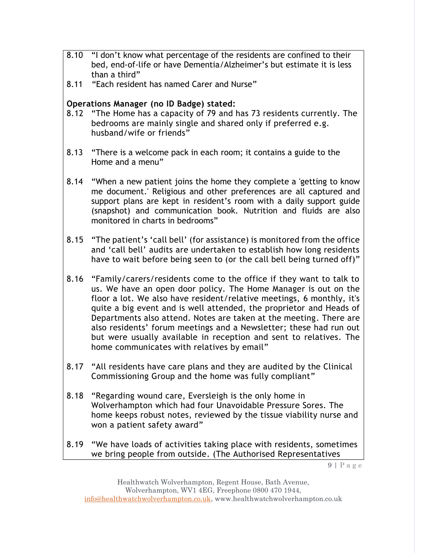- 8.10 "I don't know what percentage of the residents are confined to their bed, end-of-life or have Dementia/Alzheimer's but estimate it is less than a third"
- 8.11 "Each resident has named Carer and Nurse"

#### **Operations Manager (no ID Badge) stated:**

- 8.12 "The Home has a capacity of 79 and has 73 residents currently. The bedrooms are mainly single and shared only if preferred e.g. husband/wife or friends"
- 8.13 "There is a welcome pack in each room; it contains a guide to the Home and a menu"
- 8.14 "When a new patient joins the home they complete a 'getting to know me document.' Religious and other preferences are all captured and support plans are kept in resident's room with a daily support guide (snapshot) and communication book. Nutrition and fluids are also monitored in charts in bedrooms"
- 8.15 "The patient's 'call bell' (for assistance) is monitored from the office and 'call bell' audits are undertaken to establish how long residents have to wait before being seen to (or the call bell being turned off)"
- 8.16 "Family/carers/residents come to the office if they want to talk to us. We have an open door policy. The Home Manager is out on the floor a lot. We also have resident/relative meetings, 6 monthly, it's quite a big event and is well attended, the proprietor and Heads of Departments also attend. Notes are taken at the meeting. There are also residents' forum meetings and a Newsletter; these had run out but were usually available in reception and sent to relatives. The home communicates with relatives by email"
- 8.17 "All residents have care plans and they are audited by the Clinical Commissioning Group and the home was fully compliant"
- 8.18 "Regarding wound care, Eversleigh is the only home in Wolverhampton which had four Unavoidable Pressure Sores. The home keeps robust notes, reviewed by the tissue viability nurse and won a patient safety award"
- 8.19 "We have loads of activities taking place with residents, sometimes we bring people from outside. (The Authorised Representatives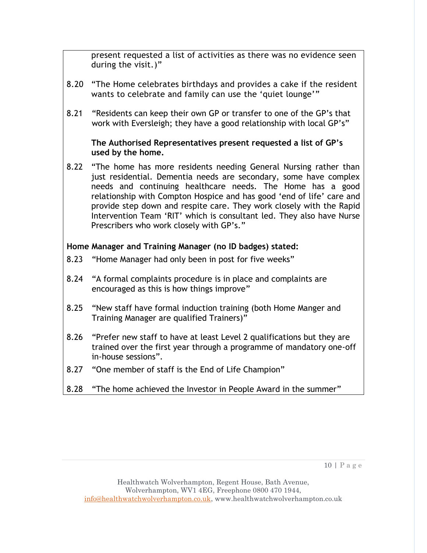present requested a list of activities as there was no evidence seen during the visit.)"

- 8.20 "The Home celebrates birthdays and provides a cake if the resident wants to celebrate and family can use the 'quiet lounge'"
- 8.21 "Residents can keep their own GP or transfer to one of the GP's that work with Eversleigh; they have a good relationship with local GP's"

#### **The Authorised Representatives present requested a list of GP's used by the home.**

8.22 "The home has more residents needing General Nursing rather than just residential. Dementia needs are secondary, some have complex needs and continuing healthcare needs. The Home has a good relationship with Compton Hospice and has good 'end of life' care and provide step down and respite care. They work closely with the Rapid Intervention Team 'RIT' which is consultant led. They also have Nurse Prescribers who work closely with GP's."

#### **Home Manager and Training Manager (no ID badges) stated:**

- 8.23 "Home Manager had only been in post for five weeks"
- 8.24 "A formal complaints procedure is in place and complaints are encouraged as this is how things improve"
- 8.25 "New staff have formal induction training (both Home Manger and Training Manager are qualified Trainers)"
- 8.26 "Prefer new staff to have at least Level 2 qualifications but they are trained over the first year through a programme of mandatory one-off in-house sessions".
- 8.27 "One member of staff is the End of Life Champion"
- 8.28 "The home achieved the Investor in People Award in the summer"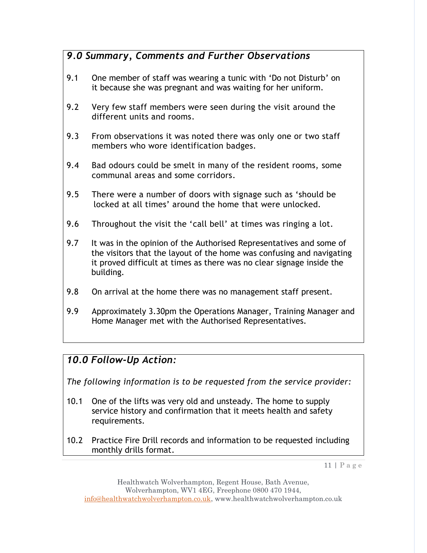## *9.0 Summary, Comments and Further Observations*

- 9.1 One member of staff was wearing a tunic with 'Do not Disturb' on it because she was pregnant and was waiting for her uniform.
- 9.2 Very few staff members were seen during the visit around the different units and rooms.
- 9.3 From observations it was noted there was only one or two staff members who wore identification badges.
- 9.4 Bad odours could be smelt in many of the resident rooms, some communal areas and some corridors.
- 9.5 There were a number of doors with signage such as 'should be locked at all times' around the home that were unlocked*.*
- 9.6 Throughout the visit the 'call bell' at times was ringing a lot.
- 9.7 It was in the opinion of the Authorised Representatives and some of the visitors that the layout of the home was confusing and navigating it proved difficult at times as there was no clear signage inside the building.
- 9.8 On arrival at the home there was no management staff present.
- 9.9 Approximately 3.30pm the Operations Manager, Training Manager and Home Manager met with the Authorised Representatives.

## *10.0 Follow-Up Action:*

*The following information is to be requested from the service provider:*

- 10.1 One of the lifts was very old and unsteady. The home to supply service history and confirmation that it meets health and safety requirements.
- 10.2 Practice Fire Drill records and information to be requested including monthly drills format.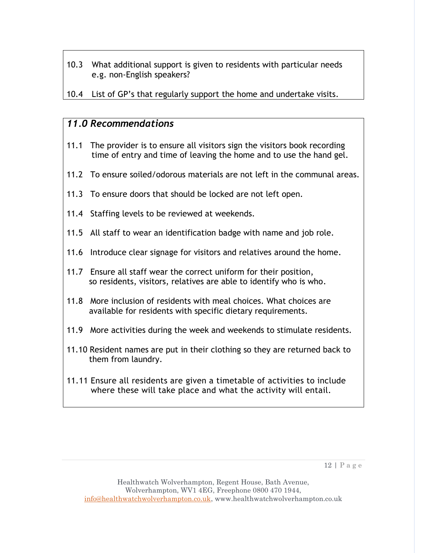10.3 What additional support is given to residents with particular needs e.g. non-English speakers?

10.4 List of GP's that regularly support the home and undertake visits.

#### *11.0 Recommendations*

- 11.1 The provider is to ensure all visitors sign the visitors book recording time of entry and time of leaving the home and to use the hand gel.
- 11.2 To ensure soiled/odorous materials are not left in the communal areas.
- 11.3 To ensure doors that should be locked are not left open.
- 11.4 Staffing levels to be reviewed at weekends.
- 11.5 All staff to wear an identification badge with name and job role.
- 11.6 Introduce clear signage for visitors and relatives around the home.
- 11.7 Ensure all staff wear the correct uniform for their position, so residents, visitors, relatives are able to identify who is who.
- 11.8 More inclusion of residents with meal choices. What choices are available for residents with specific dietary requirements.
- 11.9 More activities during the week and weekends to stimulate residents.
- 11.10 Resident names are put in their clothing so they are returned back to them from laundry.
- 11.11 Ensure all residents are given a timetable of activities to include where these will take place and what the activity will entail.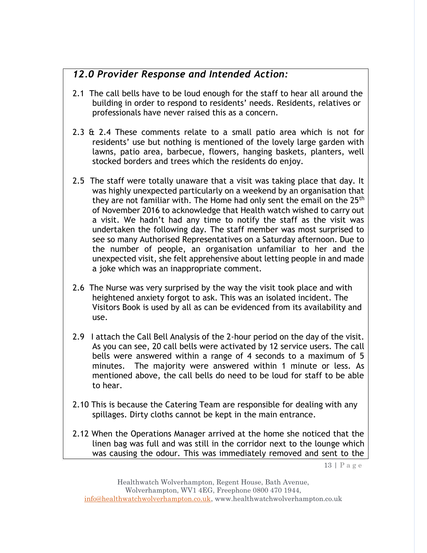## *12.0 Provider Response and Intended Action:*

- 2.1 The call bells have to be loud enough for the staff to hear all around the building in order to respond to residents' needs. Residents, relatives or professionals have never raised this as a concern.
- 2.3 & 2.4 These comments relate to a small patio area which is not for residents' use but nothing is mentioned of the lovely large garden with lawns, patio area, barbecue, flowers, hanging baskets, planters, well stocked borders and trees which the residents do enjoy.
- 2.5 The staff were totally unaware that a visit was taking place that day. It was highly unexpected particularly on a weekend by an organisation that they are not familiar with. The Home had only sent the email on the 25<sup>th</sup> of November 2016 to acknowledge that Health watch wished to carry out a visit. We hadn't had any time to notify the staff as the visit was undertaken the following day. The staff member was most surprised to see so many Authorised Representatives on a Saturday afternoon. Due to the number of people, an organisation unfamiliar to her and the unexpected visit, she felt apprehensive about letting people in and made a joke which was an inappropriate comment.
- 2.6 The Nurse was very surprised by the way the visit took place and with heightened anxiety forgot to ask. This was an isolated incident. The Visitors Book is used by all as can be evidenced from its availability and use.
- 2.9 I attach the Call Bell Analysis of the 2-hour period on the day of the visit. As you can see, 20 call bells were activated by 12 service users. The call bells were answered within a range of 4 seconds to a maximum of 5 minutes. The majority were answered within 1 minute or less. As mentioned above, the call bells do need to be loud for staff to be able to hear.
- 2.10 This is because the Catering Team are responsible for dealing with any spillages. Dirty cloths cannot be kept in the main entrance.
- 2.12 When the Operations Manager arrived at the home she noticed that the linen bag was full and was still in the corridor next to the lounge which was causing the odour. This was immediately removed and sent to the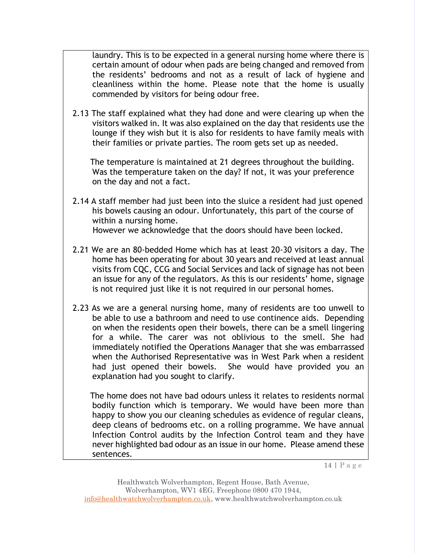laundry. This is to be expected in a general nursing home where there is certain amount of odour when pads are being changed and removed from the residents' bedrooms and not as a result of lack of hygiene and cleanliness within the home. Please note that the home is usually commended by visitors for being odour free.

2.13 The staff explained what they had done and were clearing up when the visitors walked in. It was also explained on the day that residents use the lounge if they wish but it is also for residents to have family meals with their families or private parties. The room gets set up as needed.

 The temperature is maintained at 21 degrees throughout the building. Was the temperature taken on the day? If not, it was your preference on the day and not a fact.

- 2.14 A staff member had just been into the sluice a resident had just opened his bowels causing an odour. Unfortunately, this part of the course of within a nursing home. However we acknowledge that the doors should have been locked.
- 2.21 We are an 80-bedded Home which has at least 20-30 visitors a day. The home has been operating for about 30 years and received at least annual visits from CQC, CCG and Social Services and lack of signage has not been an issue for any of the regulators. As this is our residents' home, signage is not required just like it is not required in our personal homes.
- 2.23 As we are a general nursing home, many of residents are too unwell to be able to use a bathroom and need to use continence aids. Depending on when the residents open their bowels, there can be a smell lingering for a while. The carer was not oblivious to the smell. She had immediately notified the Operations Manager that she was embarrassed when the Authorised Representative was in West Park when a resident had just opened their bowels. She would have provided you an explanation had you sought to clarify.

 The home does not have bad odours unless it relates to residents normal bodily function which is temporary. We would have been more than happy to show you our cleaning schedules as evidence of regular cleans, deep cleans of bedrooms etc. on a rolling programme. We have annual Infection Control audits by the Infection Control team and they have never highlighted bad odour as an issue in our home. Please amend these sentences.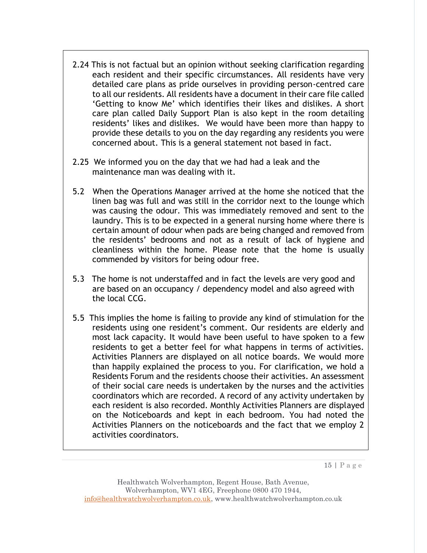- 2.24 This is not factual but an opinion without seeking clarification regarding each resident and their specific circumstances. All residents have very detailed care plans as pride ourselves in providing person-centred care to all our residents. All residents have a document in their care file called 'Getting to know Me' which identifies their likes and dislikes. A short care plan called Daily Support Plan is also kept in the room detailing residents' likes and dislikes. We would have been more than happy to provide these details to you on the day regarding any residents you were concerned about. This is a general statement not based in fact.
- 2.25 We informed you on the day that we had had a leak and the maintenance man was dealing with it.
- 5.2 When the Operations Manager arrived at the home she noticed that the linen bag was full and was still in the corridor next to the lounge which was causing the odour. This was immediately removed and sent to the laundry. This is to be expected in a general nursing home where there is certain amount of odour when pads are being changed and removed from the residents' bedrooms and not as a result of lack of hygiene and cleanliness within the home. Please note that the home is usually commended by visitors for being odour free.
- 5.3 The home is not understaffed and in fact the levels are very good and are based on an occupancy / dependency model and also agreed with the local CCG.
- 5.5 This implies the home is failing to provide any kind of stimulation for the residents using one resident's comment. Our residents are elderly and most lack capacity. It would have been useful to have spoken to a few residents to get a better feel for what happens in terms of activities. Activities Planners are displayed on all notice boards. We would more than happily explained the process to you. For clarification, we hold a Residents Forum and the residents choose their activities. An assessment of their social care needs is undertaken by the nurses and the activities coordinators which are recorded. A record of any activity undertaken by each resident is also recorded. Monthly Activities Planners are displayed on the Noticeboards and kept in each bedroom. You had noted the Activities Planners on the noticeboards and the fact that we employ 2 activities coordinators.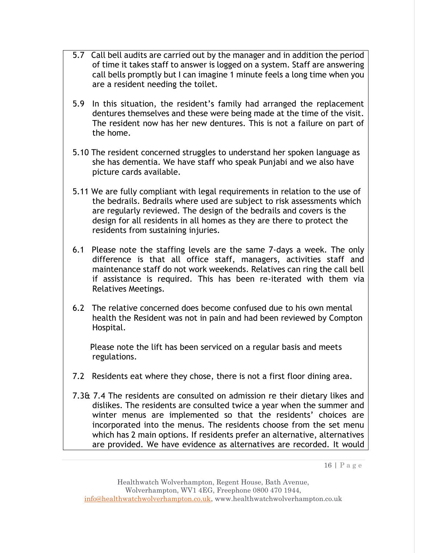- 5.7 Call bell audits are carried out by the manager and in addition the period of time it takes staff to answer is logged on a system. Staff are answering call bells promptly but I can imagine 1 minute feels a long time when you are a resident needing the toilet.
- 5.9 In this situation, the resident's family had arranged the replacement dentures themselves and these were being made at the time of the visit. The resident now has her new dentures. This is not a failure on part of the home.
- 5.10 The resident concerned struggles to understand her spoken language as she has dementia. We have staff who speak Punjabi and we also have picture cards available.
- 5.11 We are fully compliant with legal requirements in relation to the use of the bedrails. Bedrails where used are subject to risk assessments which are regularly reviewed. The design of the bedrails and covers is the design for all residents in all homes as they are there to protect the residents from sustaining injuries.
- 6.1 Please note the staffing levels are the same 7-days a week. The only difference is that all office staff, managers, activities staff and maintenance staff do not work weekends. Relatives can ring the call bell if assistance is required. This has been re-iterated with them via Relatives Meetings.
- 6.2 The relative concerned does become confused due to his own mental health the Resident was not in pain and had been reviewed by Compton Hospital.

 Please note the lift has been serviced on a regular basis and meets regulations.

- 7.2 Residents eat where they chose, there is not a first floor dining area.
- 7.3& 7.4 The residents are consulted on admission re their dietary likes and dislikes. The residents are consulted twice a year when the summer and winter menus are implemented so that the residents' choices are incorporated into the menus. The residents choose from the set menu which has 2 main options. If residents prefer an alternative, alternatives are provided. We have evidence as alternatives are recorded. It would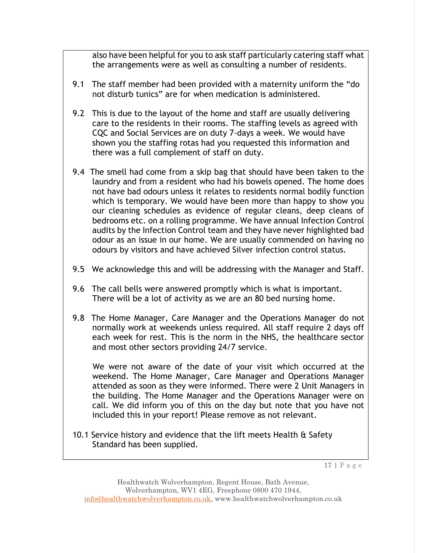also have been helpful for you to ask staff particularly catering staff what the arrangements were as well as consulting a number of residents.

- 9.1 The staff member had been provided with a maternity uniform the "do not disturb tunics" are for when medication is administered.
- 9.2 This is due to the layout of the home and staff are usually delivering care to the residents in their rooms. The staffing levels as agreed with CQC and Social Services are on duty 7-days a week. We would have shown you the staffing rotas had you requested this information and there was a full complement of staff on duty.
- 9.4 The smell had come from a skip bag that should have been taken to the laundry and from a resident who had his bowels opened. The home does not have bad odours unless it relates to residents normal bodily function which is temporary. We would have been more than happy to show you our cleaning schedules as evidence of regular cleans, deep cleans of bedrooms etc. on a rolling programme. We have annual Infection Control audits by the Infection Control team and they have never highlighted bad odour as an issue in our home. We are usually commended on having no odours by visitors and have achieved Silver infection control status.
- 9.5 We acknowledge this and will be addressing with the Manager and Staff.
- 9.6 The call bells were answered promptly which is what is important. There will be a lot of activity as we are an 80 bed nursing home.
- 9.8 The Home Manager, Care Manager and the Operations Manager do not normally work at weekends unless required. All staff require 2 days off each week for rest. This is the norm in the NHS, the healthcare sector and most other sectors providing 24/7 service.

 We were not aware of the date of your visit which occurred at the weekend. The Home Manager, Care Manager and Operations Manager attended as soon as they were informed. There were 2 Unit Managers in the building. The Home Manager and the Operations Manager were on call. We did inform you of this on the day but note that you have not included this in your report! Please remove as not relevant.

10.1 Service history and evidence that the lift meets Health & Safety Standard has been supplied.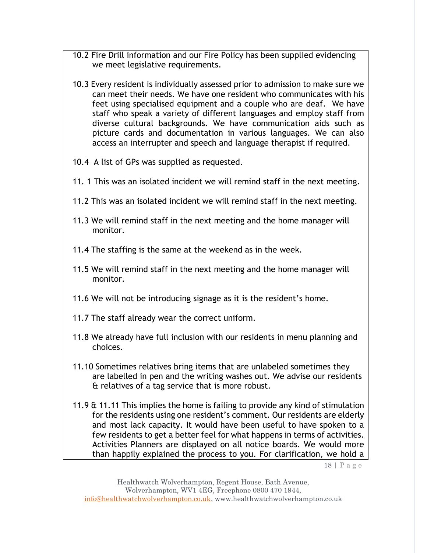- 10.2 Fire Drill information and our Fire Policy has been supplied evidencing we meet legislative requirements.
- 10.3 Every resident is individually assessed prior to admission to make sure we can meet their needs. We have one resident who communicates with his feet using specialised equipment and a couple who are deaf. We have staff who speak a variety of different languages and employ staff from diverse cultural backgrounds. We have communication aids such as picture cards and documentation in various languages. We can also access an interrupter and speech and language therapist if required.
- 10.4 A list of GPs was supplied as requested.
- 11. 1 This was an isolated incident we will remind staff in the next meeting.
- 11.2 This was an isolated incident we will remind staff in the next meeting.
- 11.3 We will remind staff in the next meeting and the home manager will monitor.
- 11.4 The staffing is the same at the weekend as in the week.
- 11.5 We will remind staff in the next meeting and the home manager will monitor.
- 11.6 We will not be introducing signage as it is the resident's home.
- 11.7 The staff already wear the correct uniform.
- 11.8 We already have full inclusion with our residents in menu planning and choices.
- 11.10 Sometimes relatives bring items that are unlabeled sometimes they are labelled in pen and the writing washes out. We advise our residents & relatives of a tag service that is more robust.
- 11.9 & 11.11 This implies the home is failing to provide any kind of stimulation for the residents using one resident's comment. Our residents are elderly and most lack capacity. It would have been useful to have spoken to a few residents to get a better feel for what happens in terms of activities. Activities Planners are displayed on all notice boards. We would more than happily explained the process to you. For clarification, we hold a